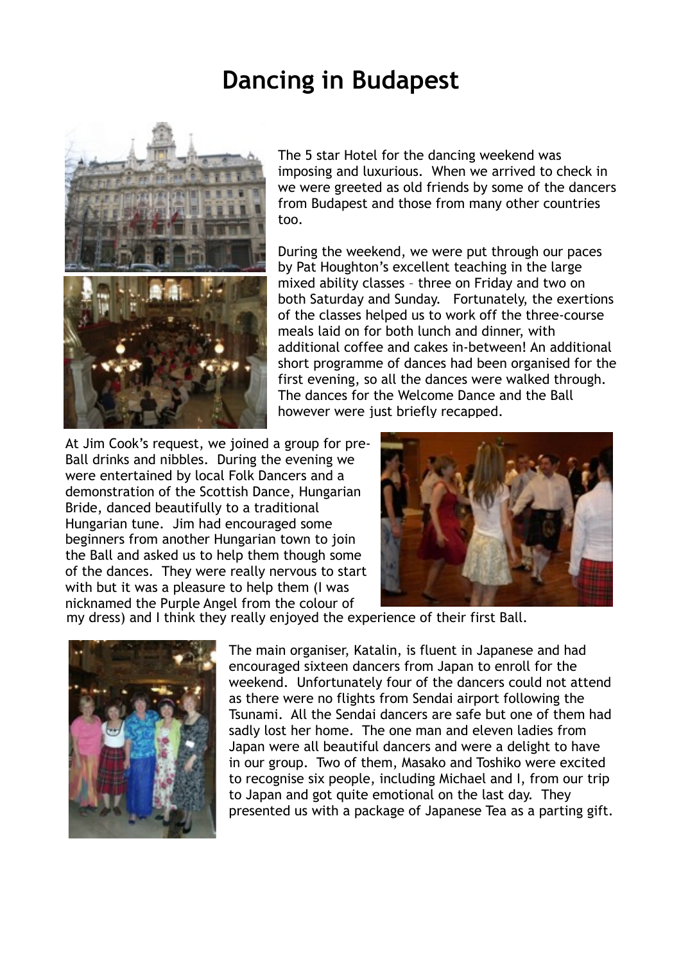## **Dancing in Budapest**



The 5 star Hotel for the dancing weekend was imposing and luxurious. When we arrived to check in we were greeted as old friends by some of the dancers from Budapest and those from many other countries too.

During the weekend, we were put through our paces by Pat Houghton's excellent teaching in the large mixed ability classes – three on Friday and two on both Saturday and Sunday. Fortunately, the exertions of the classes helped us to work off the three-course meals laid on for both lunch and dinner, with additional coffee and cakes in-between! An additional short programme of dances had been organised for the first evening, so all the dances were walked through. The dances for the Welcome Dance and the Ball however were just briefly recapped.

At Jim Cook's request, we joined a group for pre-Ball drinks and nibbles. During the evening we were entertained by local Folk Dancers and a demonstration of the Scottish Dance, Hungarian Bride, danced beautifully to a traditional Hungarian tune. Jim had encouraged some beginners from another Hungarian town to join the Ball and asked us to help them though some of the dances. They were really nervous to start with but it was a pleasure to help them (I was nicknamed the Purple Angel from the colour of



my dress) and I think they really enjoyed the experience of their first Ball.



The main organiser, Katalin, is fluent in Japanese and had encouraged sixteen dancers from Japan to enroll for the weekend. Unfortunately four of the dancers could not attend as there were no flights from Sendai airport following the Tsunami. All the Sendai dancers are safe but one of them had sadly lost her home. The one man and eleven ladies from Japan were all beautiful dancers and were a delight to have in our group. Two of them, Masako and Toshiko were excited to recognise six people, including Michael and I, from our trip to Japan and got quite emotional on the last day. They presented us with a package of Japanese Tea as a parting gift.